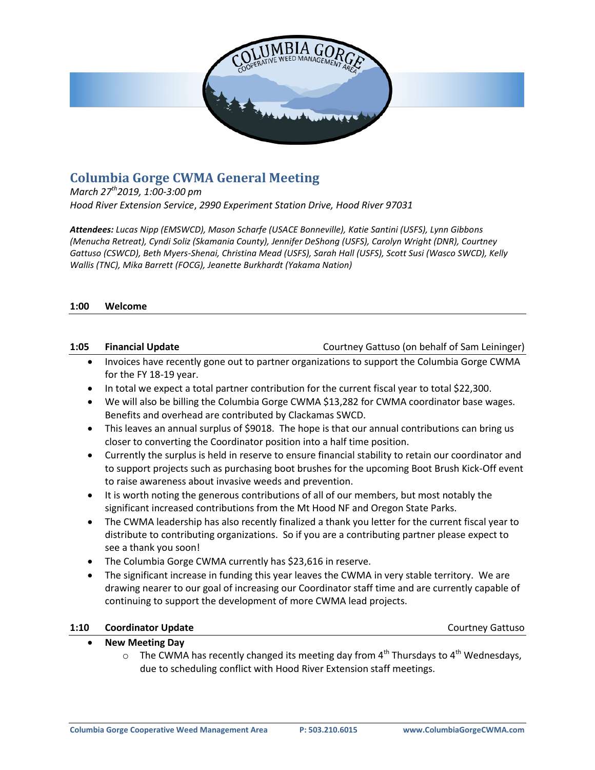

# **Columbia Gorge CWMA General Meeting**

*March 27th2019, 1:00-3:00 pm*

*Hood River Extension Service*, *2990 Experiment Station Drive, Hood River 97031* 

*Attendees: Lucas Nipp (EMSWCD), Mason Scharfe (USACE Bonneville), Katie Santini (USFS), Lynn Gibbons (Menucha Retreat), Cyndi Soliz (Skamania County), Jennifer DeShong (USFS), Carolyn Wright (DNR), Courtney Gattuso (CSWCD), Beth Myers-Shenai, Christina Mead (USFS), Sarah Hall (USFS), Scott Susi (Wasco SWCD), Kelly Wallis (TNC), Mika Barrett (FOCG), Jeanette Burkhardt (Yakama Nation)*

### **1:00 Welcome**

**1:05 Financial Update** Courtney Gattuso (on behalf of Sam Leininger)

- Invoices have recently gone out to partner organizations to support the Columbia Gorge CWMA for the FY 18-19 year.
- In total we expect a total partner contribution for the current fiscal year to total \$22,300.
- We will also be billing the Columbia Gorge CWMA \$13,282 for CWMA coordinator base wages. Benefits and overhead are contributed by Clackamas SWCD.
- This leaves an annual surplus of \$9018. The hope is that our annual contributions can bring us closer to converting the Coordinator position into a half time position.
- Currently the surplus is held in reserve to ensure financial stability to retain our coordinator and to support projects such as purchasing boot brushes for the upcoming Boot Brush Kick-Off event to raise awareness about invasive weeds and prevention.
- It is worth noting the generous contributions of all of our members, but most notably the significant increased contributions from the Mt Hood NF and Oregon State Parks.
- The CWMA leadership has also recently finalized a thank you letter for the current fiscal year to distribute to contributing organizations. So if you are a contributing partner please expect to see a thank you soon!
- The Columbia Gorge CWMA currently has \$23,616 in reserve.
- The significant increase in funding this year leaves the CWMA in very stable territory. We are drawing nearer to our goal of increasing our Coordinator staff time and are currently capable of continuing to support the development of more CWMA lead projects.

### **1:10 Coordinator Update** Courtney Gattuso

- **New Meeting Day**
	- $\circ$  The CWMA has recently changed its meeting day from 4<sup>th</sup> Thursdays to 4<sup>th</sup> Wednesdays, due to scheduling conflict with Hood River Extension staff meetings.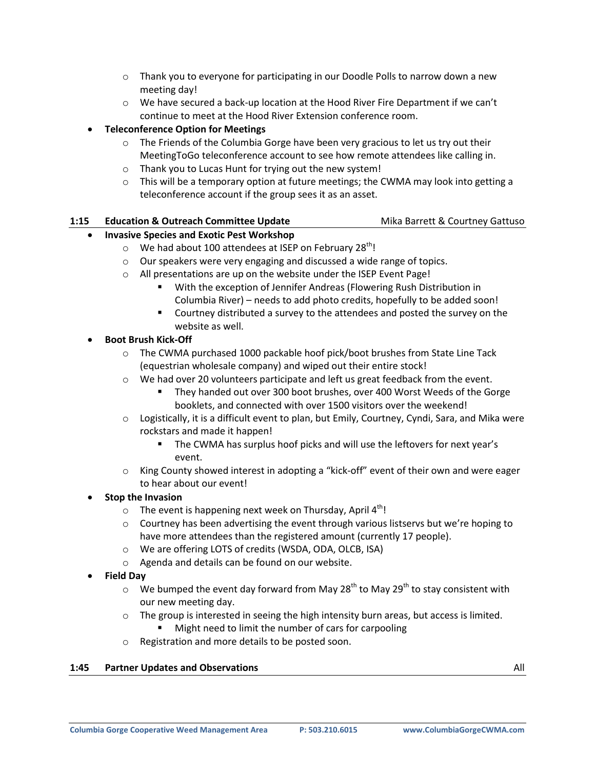- $\circ$  Thank you to everyone for participating in our Doodle Polls to narrow down a new meeting day!
- $\circ$  We have secured a back-up location at the Hood River Fire Department if we can't continue to meet at the Hood River Extension conference room.

### **Teleconference Option for Meetings**

- $\circ$  The Friends of the Columbia Gorge have been very gracious to let us try out their MeetingToGo teleconference account to see how remote attendees like calling in.
- o Thank you to Lucas Hunt for trying out the new system!
- $\circ$  This will be a temporary option at future meetings; the CWMA may look into getting a teleconference account if the group sees it as an asset.

### **1:15 <b>Education & Outreach Committee Update Mika Barrett & Courtney Gattuso**

- **Invasive Species and Exotic Pest Workshop**
	- $\circ$  We had about 100 attendees at ISEP on February 28<sup>th</sup>!
	- o Our speakers were very engaging and discussed a wide range of topics.
	- o All presentations are up on the website under the ISEP Event Page!
		- With the exception of Jennifer Andreas (Flowering Rush Distribution in Columbia River) – needs to add photo credits, hopefully to be added soon!
		- Courtney distributed a survey to the attendees and posted the survey on the website as well.

### **Boot Brush Kick-Off**

- o The CWMA purchased 1000 packable hoof pick/boot brushes from State Line Tack (equestrian wholesale company) and wiped out their entire stock!
- $\circ$  We had over 20 volunteers participate and left us great feedback from the event.
	- They handed out over 300 boot brushes, over 400 Worst Weeds of the Gorge booklets, and connected with over 1500 visitors over the weekend!
- $\circ$  Logistically, it is a difficult event to plan, but Emily, Courtney, Cyndi, Sara, and Mika were rockstars and made it happen!
	- **The CWMA has surplus hoof picks and will use the leftovers for next year's** event.
- o King County showed interest in adopting a "kick-off" event of their own and were eager to hear about our event!

### **Stop the Invasion**

- $\circ$  The event is happening next week on Thursday, April 4<sup>th</sup>!
- $\circ$  Courtney has been advertising the event through various listservs but we're hoping to have more attendees than the registered amount (currently 17 people).
- o We are offering LOTS of credits (WSDA, ODA, OLCB, ISA)
- o Agenda and details can be found on our website.
- **Field Day**
	- $\circ$  We bumped the event day forward from May 28<sup>th</sup> to May 29<sup>th</sup> to stay consistent with our new meeting day.
	- $\circ$  The group is interested in seeing the high intensity burn areas, but access is limited.
		- Might need to limit the number of cars for carpooling
	- o Registration and more details to be posted soon.

### **1:45 Partner Updates and Observations All All All All All All All All All All All All All All All All All All All All All All All All All All All All All All**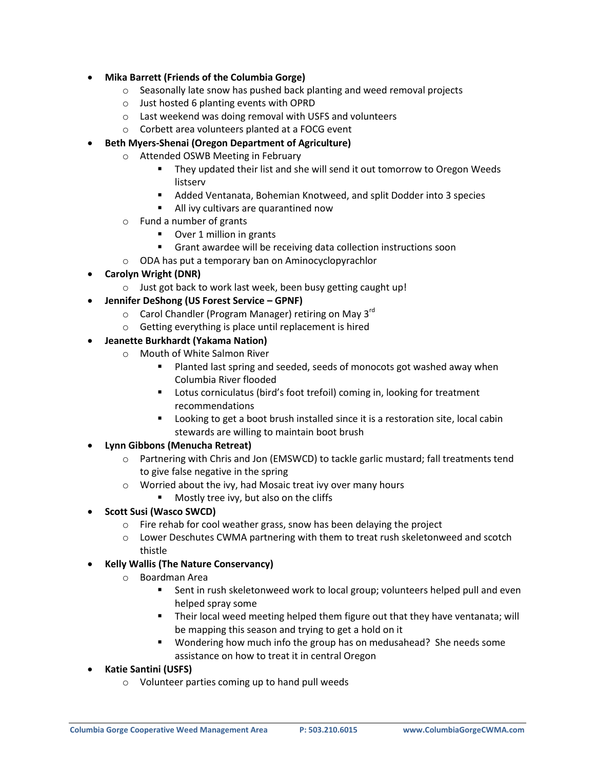- **Mika Barrett (Friends of the Columbia Gorge)**
	- o Seasonally late snow has pushed back planting and weed removal projects
	- o Just hosted 6 planting events with OPRD
	- o Last weekend was doing removal with USFS and volunteers
	- o Corbett area volunteers planted at a FOCG event
- **Beth Myers-Shenai (Oregon Department of Agriculture)**
	- o Attended OSWB Meeting in February
		- They updated their list and she will send it out tomorrow to Oregon Weeds listserv
		- Added Ventanata, Bohemian Knotweed, and split Dodder into 3 species
		- All ivy cultivars are quarantined now
	- o Fund a number of grants
		- **•** Over 1 million in grants
		- Grant awardee will be receiving data collection instructions soon
	- o ODA has put a temporary ban on Aminocyclopyrachlor
- **Carolyn Wright (DNR)**
	- o Just got back to work last week, been busy getting caught up!
	- **Jennifer DeShong (US Forest Service – GPNF)**
		- $\circ$  Carol Chandler (Program Manager) retiring on May 3<sup>rd</sup>
		- o Getting everything is place until replacement is hired

### **Jeanette Burkhardt (Yakama Nation)**

- o Mouth of White Salmon River
	- Planted last spring and seeded, seeds of monocots got washed away when Columbia River flooded
	- Lotus corniculatus (bird's foot trefoil) coming in, looking for treatment recommendations
	- Looking to get a boot brush installed since it is a restoration site, local cabin stewards are willing to maintain boot brush
- **Lynn Gibbons (Menucha Retreat)**
	- o Partnering with Chris and Jon (EMSWCD) to tackle garlic mustard; fall treatments tend to give false negative in the spring
	- o Worried about the ivy, had Mosaic treat ivy over many hours
		- **Mostly tree ivy, but also on the cliffs**
- **Scott Susi (Wasco SWCD)**
	- o Fire rehab for cool weather grass, snow has been delaying the project
	- o Lower Deschutes CWMA partnering with them to treat rush skeletonweed and scotch thistle
- **Kelly Wallis (The Nature Conservancy)**
	- o Boardman Area
		- Sent in rush skeletonweed work to local group; volunteers helped pull and even helped spray some
		- **Their local weed meeting helped them figure out that they have ventanata; will** be mapping this season and trying to get a hold on it
		- Wondering how much info the group has on medusahead? She needs some assistance on how to treat it in central Oregon
- **Katie Santini (USFS)**
	- o Volunteer parties coming up to hand pull weeds